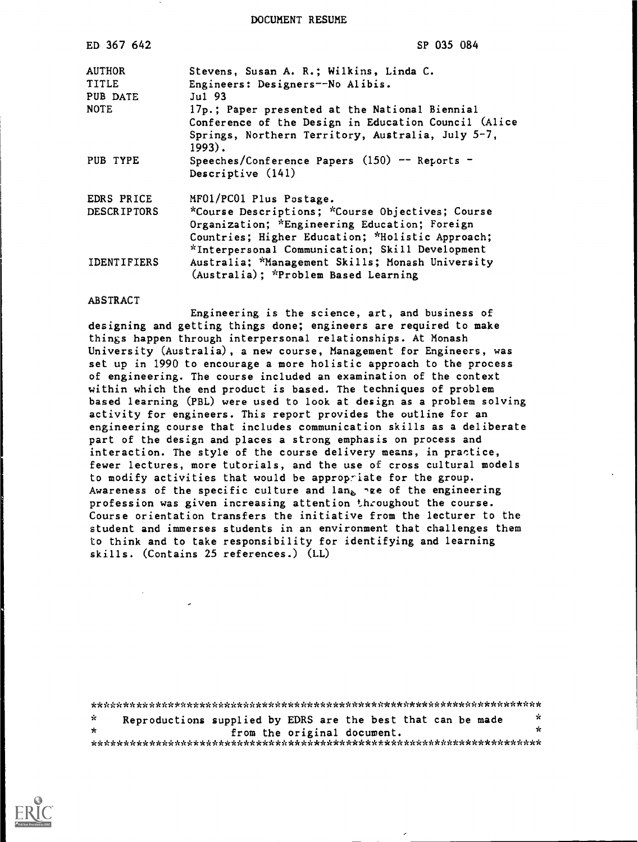DOCUMENT RESUME

| ED 367 642         | SP 035 084                                           |
|--------------------|------------------------------------------------------|
| <b>AUTHOR</b>      | Stevens, Susan A. R.; Wilkins, Linda C.              |
| <b>TITLE</b>       | Engineers: Designers--No Alibis.                     |
| PUB DATE           | $Ju1$ 93                                             |
| <b>NOTE</b>        | 17p.; Paper presented at the National Biennial       |
|                    | Conference of the Design in Education Council (Alice |
|                    | Springs, Northern Territory, Australia, July 5-7,    |
|                    | $1993)$ .                                            |
| PUB TYPE           | Speeches/Conference Papers $(150)$ -- Reports -      |
|                    | Descriptive (141)                                    |
| EDRS PRICE         | MF01/PC01 Plus Postage.                              |
| <b>DESCRIPTORS</b> | *Course Descriptions; *Course Objectives; Course     |
|                    | Organization; *Engineering Education; Foreign        |
|                    | Countries; Higher Education; *Holistic Approach;     |
|                    | *Interpersonal Communication; Skill Development      |
| <b>IDENTIFIERS</b> | Australia; *Management Skills; Monash University     |
|                    | (Australia); *Problem Based Learning                 |

#### ABSTRACT

Engineering is the science, art, and business of designing and getting things done; engineers are required to make things happen through interpersonal relationships. At Monash University (Australia), a new course, Management for Engineers, was set up in 1990 to encourage a more holistic approach to the process of engineering. The course included an examination of the context within which the end product is based. The techniques of problem based learning (PBL) were used to look at design as a problem solving activity for engineers. This report provides the outline for an engineering course that includes communication skills as a deliberate part of the design and places a strong emphasis on process and interaction. The style of the course delivery means, in practice, fewer lectures, more tutorials, and the use of cross cultural models to modify activities that would be approp-iate for the group. Awareness of the specific culture and  $\text{lan}_{\text{A}}$  are of the engineering profession was given increasing attention th:oughout the course. Course orientation transfers the initiative from the lecturer to the student and immerses students in an environment that challenges them to think and to take responsibility for identifying and learning skills. (Contains 25 references.) (LL)

| -ic     | Reproductions supplied by EDRS are the best that can be made |  |  |                             |  | ÷. |
|---------|--------------------------------------------------------------|--|--|-----------------------------|--|----|
| $\star$ |                                                              |  |  | from the original document. |  | x  |
|         |                                                              |  |  |                             |  |    |

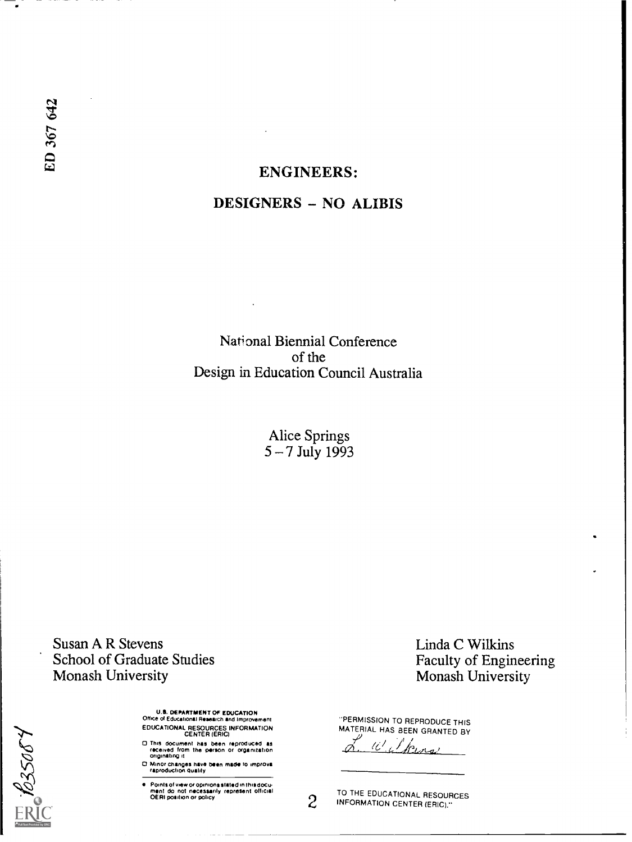# ENGINEERS: DESIGNERS - NO ALIBIS

National Biennial Conference of the Design in Education Council Australia

> Alice Springs 5 – 7 July 1993

Susan A R Stevens School of Graduate Studies Monash University

635084

UAL DEPARTMENT OF EDUCATION Office ol Educational Research and Improvement EDUCATIONAL RESOURCES INFORMATION CENTER (ERIC)

0 Tffis document has been reproduCed as received from the person Or organization originating it

0 Minor changes have Pun made to improve reproduction Quality

Points of view or opiniona stated in this docu-<br>ment ido inot inecessarily represent official

Linda C Wilkins Faculty of Engineering Monash University

"PERMISSION TO REPRODUCE THIS MATERIAL HAS BEEN GRANTED BY

10 Pers

OERI position or policy<br>
2 INFORMATION TO THE EDUCATIONAL RESOURCES INFORMATION CENTER (ERIC)."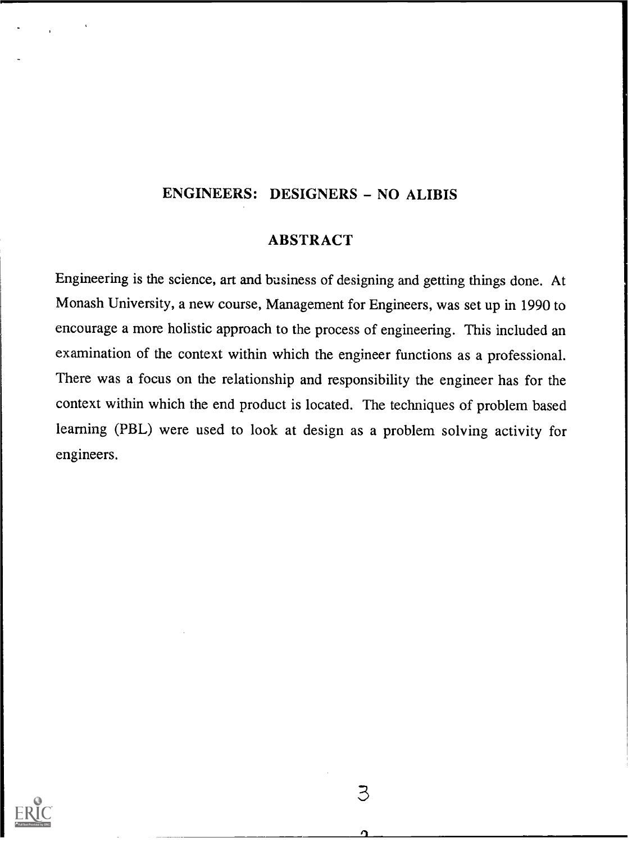### ENGINEERS: DESIGNERS - NO ALIBIS

#### ABSTRACT

Engineering is the science, art and business of designing and getting things done. At Monash University, a new course, Management for Engineers, was set up in 1990 to encourage a more holistic approach to the process of engineering. This included an examination of the context within which the engineer functions as a professional. There was a focus on the relationship and responsibility the engineer has for the context within which the end product is located. The techniques of problem based learning (PBL) were used to look at design as a problem solving activity for engineers.



З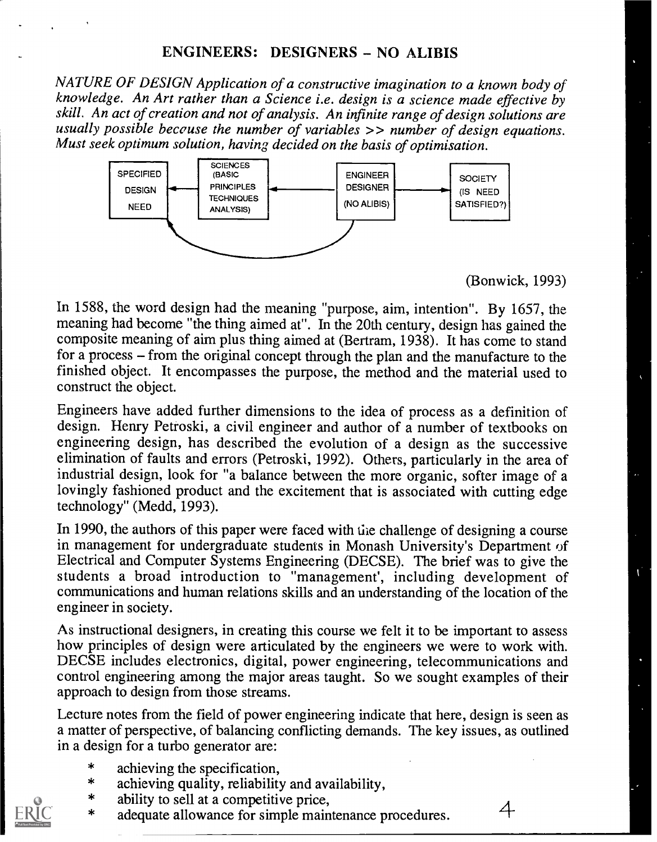NATURE OF DESIGN Application of a constructive imagination to a known body of knowledge. An Art rather than a Science i.e. design is a science made effective by skill. An act of creation and not of analysis. An infinite range of design solutions are usually possible becouse the number of variables >> number of design equations. Must seek optimum solution, having decided on the basis of optimisation.



#### (Bonwick, 1993)

In 1588, the word design had the meaning "purpose, aim, intention". By 1657, the meaning had become "the thing aimed at". In the 20th century, design has gained the composite meaning of aim plus thing aimed at (Bertram, 1938). It has come to stand for a process – from the original concept through the plan and the manufacture to the finished object. It encompasses the purpose, the method and the material used to construct the object.

Engineers have added further dimensions to the idea of process as a definition of design. Henry Petroski, a civil engineer and author of a number of textbooks on engineering design, has described the evolution of a design as the successive elimination of faults and errors (Petroski, 1992). Others, particularly in the area of industrial design, look for "a balance between the more organic, softer image of a lovingly fashioned product and the excitement that is associated with cutting edge technology" (Medd, 1993).

In 1990, the authors of this paper were faced with the challenge of designing a course in management for undergraduate students in Monash University's Department of Electrical and Computer Systems Engineering (DECSE). The brief was to give the students a broad introduction to "management', including development of communications and human relations skills and an understanding of the location of the engineer in society.

As instructional designers, in creating this course we felt it to be important to assess how principles of design were articulated by the engineers we were to work with. DECSE includes electronics, digital, power engineering, telecommunications and control engineering among the major areas taught. So we sought examples of their approach to design from those streams.

Lecture notes from the field of power engineering indicate that here, design is seen as a matter of perspective, of balancing conflicting demands. The key issues, as outlined in a design for a turbo generator are:

- $\star$ achieving the specification,
- achieving quality, reliability and availability,  $\star$
- ability to sell at a competitive price,
- \* ability to sell at a competitive price,<br>\* adequate allowance for simple maintenance procedures.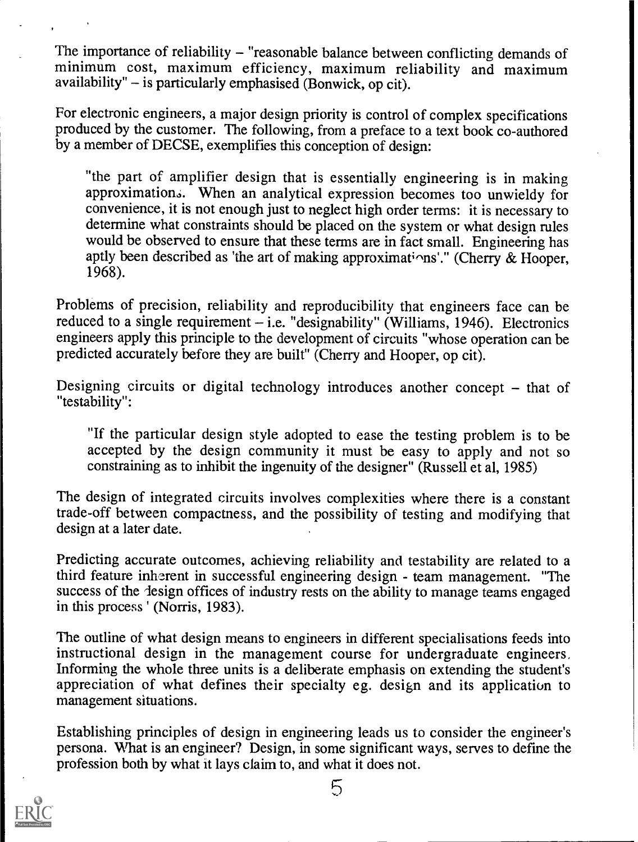The importance of reliability - "reasonable balance between conflicting demands of minimum cost, maximum efficiency, maximum reliability and maximum availability"  $-$  is particularly emphasised (Bonwick, op cit).

For electronic engineers, a major design priority is control of complex specifications produced by the customer. The following, from a preface to a text book co-authored by a member of DECSE, exemplifies this conception of design:

"the part of amplifier design that is essentially engineering is in making approximation.. When an analytical expression becomes too unwieldy for convenience, it is not enough just to neglect high order terms: it is necessary to determine what constraints should be placed on the system or what design rules would be observed to ensure that these terms are in fact small. Engineering has aptly been described as 'the art of making approximations'." (Cherry & Hooper, 1968).

Problems of precision, reliability and reproducibility that engineers face can be reduced to a single requirement  $-i.e.$  "designability" (Williams, 1946). Electronics engineers apply this principle to the development of circuits "whose operation can be predicted accurately before they are built" (Cheny and Hooper, op cit).

Designing circuits or digital technology introduces another concept  $-$  that of "testability":

"If the particular design style adopted to ease the testing problem is to be accepted by the design community it must be easy to apply and not so constraining as to inhibit the ingenuity of the designer" (Russell et al, 1985)

The design of integrated circuits involves complexities where there is a constant trade-off between compactness, and the possibility of testing and modifying that design at a later date.

Predicting accurate outcomes, achieving reliability and testability are related to a third feature inherent in successful engineering design - team management. "The success of the lesign offices of industry rests on the ability to manage teams engaged in this process ' (Norris, 1983).

The outline of what design means to engineers in different specialisations feeds into instructional design in the management course for undergraduate engineers. Informing the whole three units is a deliberate emphasis on extending the student's appreciation of what defines their specialty eg. design and its application to management situations.

Establishing principles of design in engineering leads us to consider the engineer's persona. What is an engineer? Design, in some significant ways, serves to define the profession both by what it lays claim to, and what it does not.



5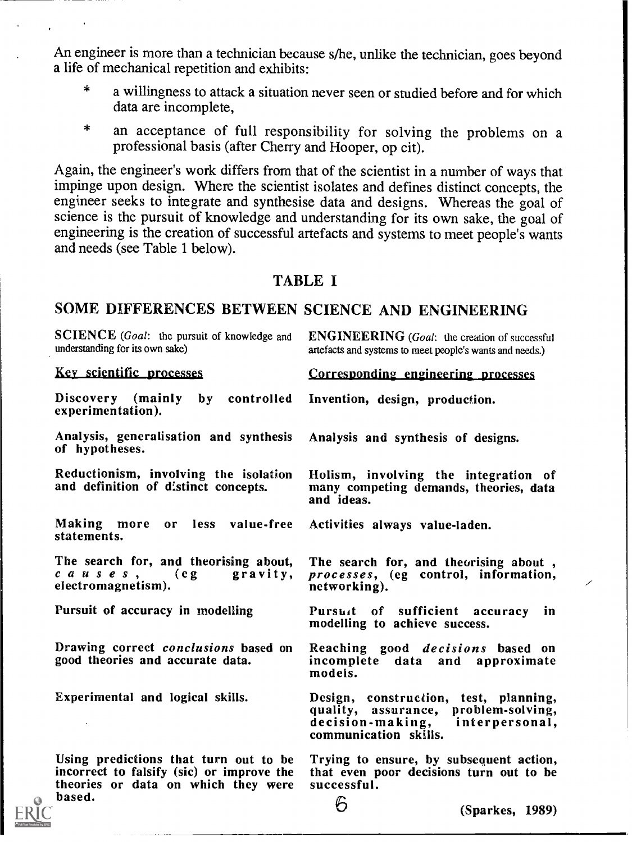An engineer is more than a technician because s/he, unlike the technician, goes beyond a life of mechanical repetition and exhibits:

- $\star$ a willingness to attack a situation never seen or studied before and for which data are incomplete,
- an acceptance of full responsibility for solving the problems on a  $\star$ professional basis (after Cherry and Hooper, op cit).

Again, the engineer's work differs from that of the scientist in a number of ways that impinge upon design. Where the scientist isolates and defines distinct concepts, the engineer seeks to integrate and synthesise data and designs. Whereas the goal of science is the pursuit of knowledge and understanding for its own sake, the goal of engineering is the creation of successful artefacts and systems to meet people's wants and needs (see Table 1 below).

#### TABLE I

### SOME DIFFERENCES BETWEEN SCIENCE AND ENGINEERING

| <b>SCIENCE</b> (Goal: the pursuit of knowledge and<br>understanding for its own sake)                                               | <b>ENGINEERING</b> (Goal: the creation of successful<br>artefacts and systems to meet people's wants and needs.)                          |
|-------------------------------------------------------------------------------------------------------------------------------------|-------------------------------------------------------------------------------------------------------------------------------------------|
| Key scientific processes                                                                                                            | Corresponding engineering processes                                                                                                       |
| Discovery (mainly by controlled<br>experimentation).                                                                                | Invention, design, production.                                                                                                            |
| Analysis, generalisation and synthesis Analysis and synthesis of designs.<br>of hypotheses.                                         |                                                                                                                                           |
| Reductionism, involving the isolation<br>and definition of distinct concepts.                                                       | Holism, involving the integration of<br>many competing demands, theories, data<br>and ideas.                                              |
| Making more or less value-free Activities always value-laden.<br>statements.                                                        |                                                                                                                                           |
| The search for, and theorising about,<br>$c \ a \ u \ s \ e \ s \ , \qquad (eg$<br>gravity,<br>electromagnetism).                   | The search for, and theorising about,<br>processes, (eg control, information,<br>╱<br>networking).                                        |
| Pursuit of accuracy in modelling                                                                                                    | Pursuit of sufficient accuracy in<br>modelling to achieve success.                                                                        |
| Drawing correct conclusions based on<br>good theories and accurate data.                                                            | Reaching good <i>decisions</i> based on<br>incomplete data and approximate<br>models.                                                     |
| Experimental and logical skills.                                                                                                    | Design, construction, test, planning,<br>quality, assurance, problem-solving,<br>decision-making, interpersonal,<br>communication skills. |
| Using predictions that turn out to be<br>incorrect to falsify (sic) or improve the<br>theories or data on which they were<br>based. | Trying to ensure, by subsequent action,<br>that even poor decisions turn out to be<br>successful.<br>$\mathcal{L}$                        |

 $\ddot{\Theta}$  (Sparkes, 1989)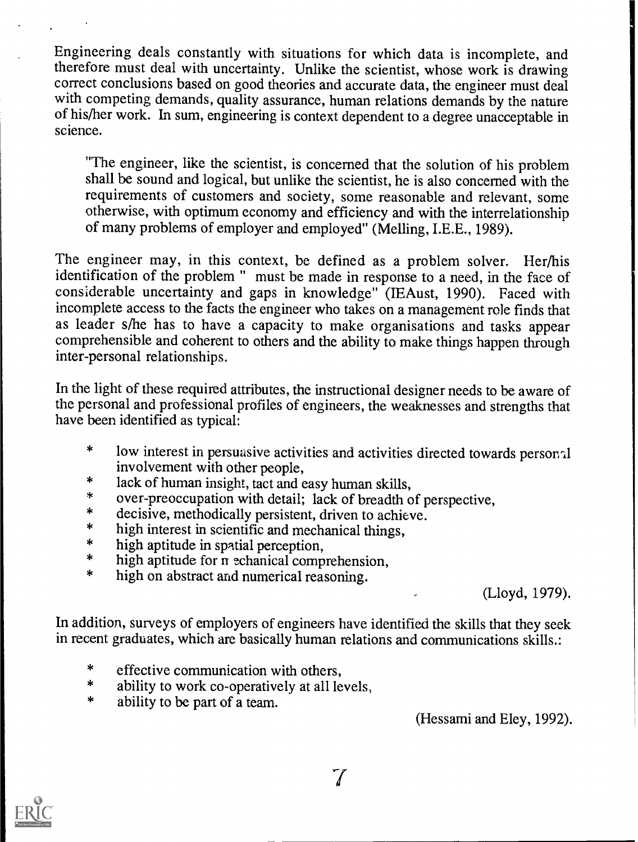Engineering deals constantly with situations for which data is incomplete, and therefore must deal with uncertainty. Unlike the scientist, whose work is drawing correct conclusions based on good theories and accurate data, the engineer must deal with competing demands, quality assurance, human relations demands by the nature of his/her work. In sum, engineering is context dependent to a degree unacceptable in science.

"The engineer, like the scientist, is concerned that the solution of his problem shall be sound and logical, but unlike the scientist, he is also concerned with the requirements of customers and society, some reasonable and relevant, some otherwise, with optimum economy and efficiency and with the interrelationship of many problems of employer and employed" (Melling, I.E.E., 1989).

The engineer may, in this context, be defined as a problem solver. Her/his identification of the problem " must be made in response to a need, in the face of considerable uncertainty and gaps in knowledge" (IEAust, 1990). Faced with incomplete access to the facts the engineer who takes on a management role finds that as leader s/he has to have a capacity to make organisations and tasks appear comprehensible and coherent to others and the ability to make things happen through inter-personal relationships.

In the light of these required attributes, the instructional designer needs to be aware of the personal and professional profiles of engineers, the weaknesses and strengths that have been identified as typical:

- $\ast$ low interest in persuasive activities and activities directed towards personal involvement with other people,
- $\ast$ lack of human insight, tact and easy human skills,
- $\star$ over-preoccupation with detail; lack of breadth of perspective,
- decisive, methodically persistent, driven to achieve.
- $\ast$ high interest in scientific and mechanical things,
- $\ast$ high aptitude in spatial perception,
- $\ast$ high aptitude for n echanical comprehension,
- high on abstract and numerical reasoning.  $\ast$

(Lloyd, 1979).

In addition, surveys of employers of engineers have identified the skills that they seek in recent graduates, which are basically human relations and communications skills.:

- $\star$ effective communication with others,
- $\ast$ ability to work co-operatively at all levels,
- $\ast$ ability to be part of a team.

(Hessami and Eley, 1992).

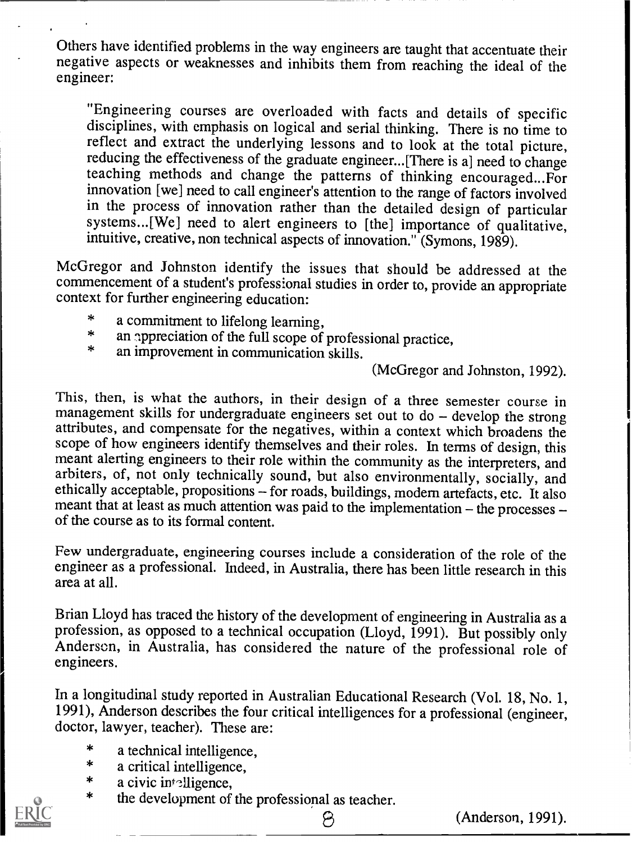Others have identified problems in the way engineers are taught that accentuate their negative aspects or weaknesses and inhibits them from reaching the ideal of the engineer:

"Engineering courses are overloaded with facts and details of specific disciplines, with emphasis on logical and serial thinking. There is no time to reducing the effectiveness of the graduate engineer...[There is a] need to change teaching methods and change the patterns of thinking encouraged...For innovation [we] need to call engineer's attention to the range of factors involved<br>in the process of innovation rather than the detailed design of particular systems...[We] need to alert engineers to [the] importance of qualitative, intuitive, creative, non technical aspects of innovation." (Symons, 1989).

McGregor and Johnston identify the issues that should be addressed at the commencement of a student's professional studies in order to, provide an appropriate context for further engineering education:

- $\ddag$ a commitment to lifelong learning,
- $\star$ an appreciation of the full scope of professional practice,
- $\star$ an improvement in communication skills.

(McGregor and Johnston, 1992).

This, then, is what the authors, in their design of a three semester course in management skills for undergraduate engineers set out to do  $-$  develop the strong attributes, and compensate for the negatives, within a context which broadens the scope of how engineers identify themselves and their roles. In terms of design, this meant alerting engineers to their role within the community as the interpreters, and arbiters, of, not only technically sound, but also environmentally, socially, and ethically acceptable, propositions - for roads, buildings, modern artefacts, etc. It also meant that at least as much attention was paid to the implementation  $-$  the processes  $-$  of the course as to its formal content.

Few undergraduate, engineering courses include a consideration of the role of the engineer as a professional. Indeed, in Australia, there has been little research in this area at all.

Brian Lloyd has traced the history of the development of engineering in Australia as a profession, as opposed to a technical occupation (Lloyd, 1991). But possibly only Anderson, in Australia, has considered the nature of

In a longitudinal study reported in Australian Educational Research (Vol. 18, No. 1, 1991), Anderson describes the four critical intelligences for a professional (engineer, doctor, lawyer, teacher). These are:

- $\ast$ a technical intelligence,
- $\ast$ a critical intelligence,
- $\ast$ a civic intelligence,
- the development of the professional as teacher.  $\ast$



(Anderson, 1991).

8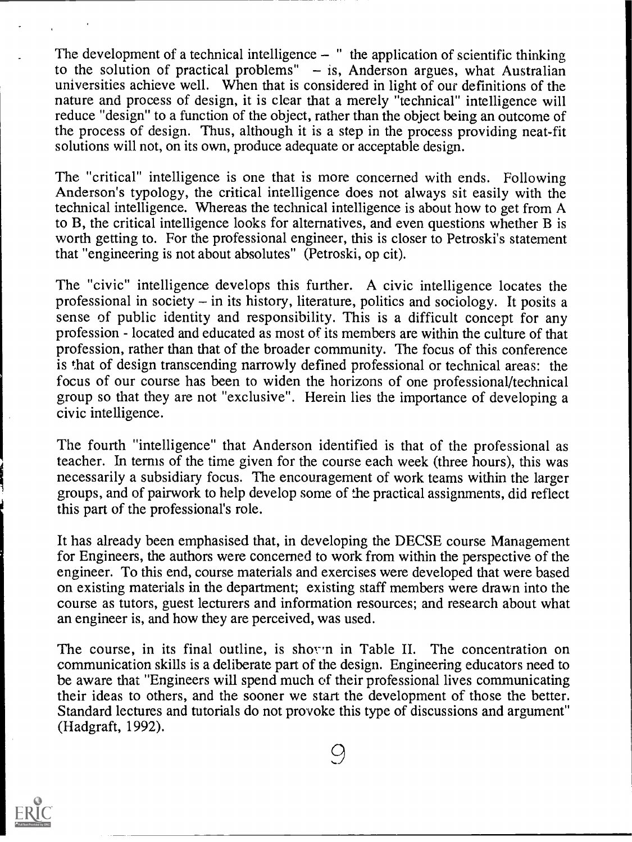The development of a technical intelligence  $-$  " the application of scientific thinking to the solution of practical problems"  $-$  is, Anderson argues, what Australian universities achieve well. When that is considered in light of our definitions of the nature and process of design, it is clear that a merely "technical" intelligence will reduce "design" to a function of the object, rather than the object being an outcome of the process of design. Thus, although it is a step in the process providing neat-fit solutions will not, on its own, produce adequate or acceptable design.

The "critical" intelligence is one that is more concerned with ends. Following Anderson's typology, the critical intelligence does not always sit easily with the technical intelligence. Whereas the technical intelligence is about how to get from A to B, the critical intelligence looks for alternatives, and even questions whether B is worth getting to. For the professional engineer, this is closer to Petroski's statement that "engineering is not about absolutes" (Petroski, op cit).

The "civic" intelligence develops this further. A civic intelligence locates the professional in society  $-$  in its history, literature, politics and sociology. It posits a sense of public identity and responsibility. This is a difficult concept for any profession - located and educated as most of its members are within the culture of that profession, rather than that of the broader community. The focus of this conference is that of design transcending narrowly defined professional or technical areas: the focus of our course has been to widen the horizons of one professional/technical group so that they are not "exclusive". Herein lies the importance of developing a civic intelligence.

The fourth "intelligence" that Anderson identified is that of the professional as teacher. In ternis of the time given for the course each week (three hours), this was necessarily a subsidiary focus. The encouragement of work teams within the larger groups, and of pairwork to help develop some of the practical assignments, did reflect this part of the professional's role.

It has already been emphasised that, in developing the DECSE course Management for Engineers, the authors were concerned to work from within the perspective of the engineer. To this end, course materials and exercises were developed that were based on existing materials in the department; existing staff members were drawn into the course as tutors, guest lecturers and information resources; and research about what an engineer is, and how they are perceived, was used.

The course, in its final outline, is shov'n in Table II. The concentration on communication skills is a deliberate part of the design. Engineering educators need to be aware that "Engineers will spend much of their professional lives communicating their ideas to others, and the sooner we start the development of those the better. Standard lectures and tutorials do not provoke this type of discussions and argument" (Hadgraft, 1992).

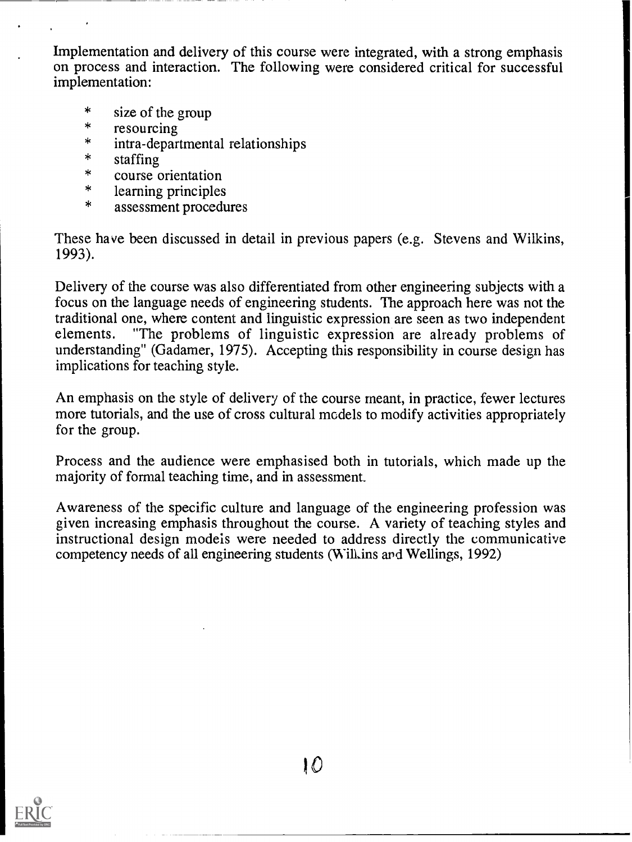Implementation and delivery of this course were integrated, with a strong emphasis on process and interaction. The following were considered critical for successful implementation:

- $\star$ size of the group
- $\ast$ resourcing
- $\ast$ intra-departmental relationships
- $\ast$ staffing
- $\ast$ course orientation
- $\ast$ learning principles
- $\ast$ assessment procedures

These have been discussed in detail in previous papers (e.g. Stevens and Wilkins, 1993).

Delivery of the course was also differentiated from other engineering subjects with a focus on the language needs of engineering students. The approach here was not the traditional one, where content and linguistic expression are seen as two independent elements. "The problems of linguistic expression are already problems of understanding" (Gadamer, 1975). Accepting this responsibility in course design has implications for teaching style.

An emphasis on the style of delivery of the course meant, in practice, fewer lectures more tutorials, and the use of cross cultural models to modify activities appropriately for the group.

Process and the audience were emphasised both in tutorials, which made up the majority of formal teaching time, and in assessment.

Awareness of the specific culture and language of the engineering profession was given increasing emphasis throughout the course. A variety of teaching styles and instructional design models were needed to address directly the communicative competency needs of all engineering students (Will ins and Wellings, 1992)

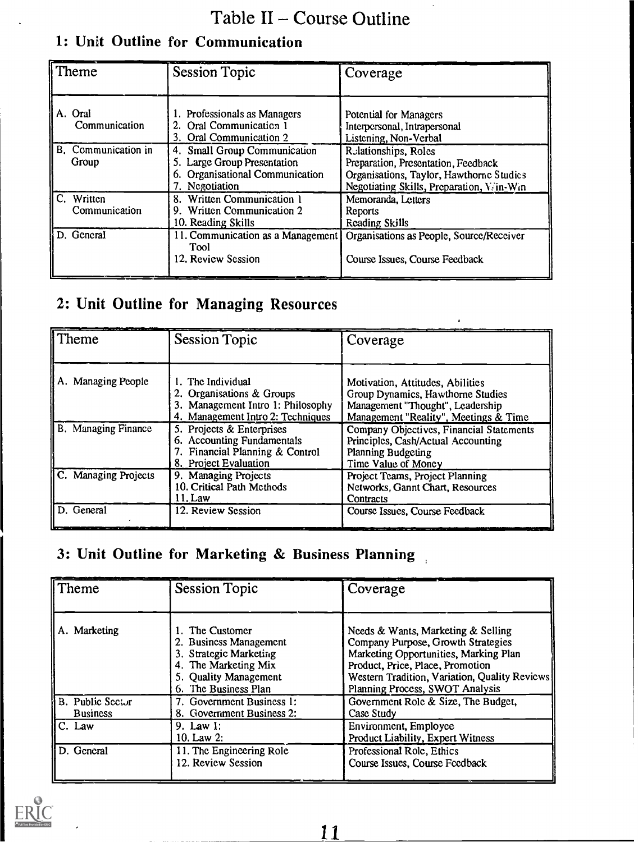## Table II - Course Outline

## 1: Unit Outline for Communication

| I Theme                      | <b>Session Topic</b>                                                                                             | Coverage                                                                                                                                            |
|------------------------------|------------------------------------------------------------------------------------------------------------------|-----------------------------------------------------------------------------------------------------------------------------------------------------|
| A. Oral<br>Communication     | 1. Professionals as Managers<br>2. Oral Communication 1<br>3. Oral Communication 2                               | Potential for Managers<br>Interpersonal, Intrapersonal<br>Listening, Non-Verbal                                                                     |
| B. Communication in<br>Group | 4. Small Group Communication<br>5. Large Group Presentation<br>6. Organisational Communication<br>7. Negotiation | Relationships, Roles<br>Preparation, Presentation, Feedback<br>Organisations, Taylor, Hawthorne Studies<br>Negotiating Skills, Preparation, Vin-Win |
| C. Written<br>Communication  | 8. Written Communication 1<br>9. Written Communication 2<br>10. Reading Skills                                   | Memoranda, Letters<br>Reports<br>Reading Skills                                                                                                     |
| D. General                   | 11. Communication as a Management<br>Tool<br>12. Review Session                                                  | Organisations as People, Source/Receiver<br>Course Issues, Course Feedback                                                                          |

## 2: Unit Outline for Managing Resources

| Theme                      | <b>Session Topic</b>                                                                                                     | Coverage                                                                                                                                           |
|----------------------------|--------------------------------------------------------------------------------------------------------------------------|----------------------------------------------------------------------------------------------------------------------------------------------------|
| A. Managing People         | 1. The Individual<br>2. Organisations & Groups<br>3. Management Intro 1: Philosophy<br>4. Management Intro 2: Techniques | Motivation, Attitudes, Abilities<br>Group Dynamics, Hawthorne Studies<br>Management "Thought", Leadership<br>Management "Reality", Meetings & Time |
| <b>B.</b> Managing Finance | 5. Projects & Enterprises<br>6. Accounting Fundamentals<br>7. Financial Planning & Control<br>8. Project Evaluation      | Company Objectives, Financial Statements<br>Principles, Cash/Actual Accounting<br>Planning Budgeting<br>Time Value of Money                        |
| C. Managing Projects       | 9. Managing Projects<br>10. Critical Path Methods<br>11. Law                                                             | Project Teams, Project Planning<br>Networks, Gannt Chart, Resources<br>Contracts                                                                   |
| $\parallel$ D. General     | 12. Review Session                                                                                                       | Course Issues, Course Feedback                                                                                                                     |

## 3: Unit Outline for Marketing & Business Planning

| Theme                               | <b>Session Topic</b>                                                                                                                         | Coverage                                                                                                                                                                                                                                  |
|-------------------------------------|----------------------------------------------------------------------------------------------------------------------------------------------|-------------------------------------------------------------------------------------------------------------------------------------------------------------------------------------------------------------------------------------------|
| A. Marketing                        | 1. The Customer<br>2. Business Management<br>3. Strategic Marketing<br>4. The Marketing Mix<br>5. Quality Management<br>6. The Business Plan | Needs & Wants, Marketing & Selling<br>Company Purpose, Growth Strategies<br>Marketing Opportunities, Marking Plan<br>Product, Price, Place, Promotion<br>Western Tradition, Variation, Quality Reviews<br>Planning Process, SWOT Analysis |
| B. Public Sector<br><b>Business</b> | 7. Government Business 1:<br>8. Government Business 2:                                                                                       | Government Role & Size, The Budget,<br>Case Study                                                                                                                                                                                         |
| $IC.$ Law                           | 9. Law $1:$<br>10. Law $2:$                                                                                                                  | Environment, Employee<br>Product Liability, Expert Witness                                                                                                                                                                                |
| ll D. General                       | 11. The Engineering Role<br>12. Review Session                                                                                               | Professional Role, Ethics<br>Course Issues, Course Feedback                                                                                                                                                                               |

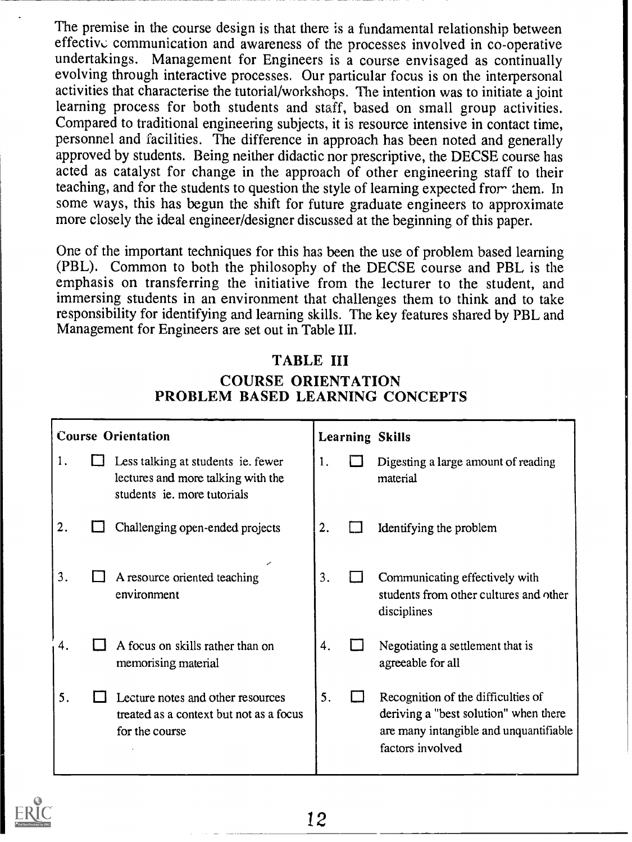The premise in the course design is that there is a fundamental relationship between effective communication and awareness of the processes involved in co-operative undertakings. Management for Engineers is a course envisaged as continually evolving through interactive processes. Our particular focus is on the interpersonal activities that characterise the tutorial/workshops. The intention was to initiate a joint learning process for both students and staff, based on small group activities. Compared to traditional engineering subjects, it is resource intensive in contact time, personnel and facilities. The difference in approach has been noted and generally approved by students. Being neither didactic nor prescriptive, the DECSE course has acted as catalyst for change in the approach of other engineering staff to their teaching, and for the students to question the style of learning expected fror- them. In some ways, this has begun the shift for future graduate engineers to approximate more closely the ideal engineer/designer discussed at the beginning of this paper.

One of the important techniques for this has been the use of problem based learning (PBL). Common to both the philosophy of the DECSE course and PBL is the emphasis on transferring the initiative from the lecturer to the student, and immersing students in an environment that challenges them to think and to take responsibility for identifying and learning skills. The key features shared by PBL and Management for Engineers are set out in Table III.

## TABLE III COURSE ORIENTATION PROBLEM BASED LEARNING CONCEPTS

| <b>Course Orientation</b> |  |                                                                                                         |    | <b>Learning Skills</b>                                                                                                                    |
|---------------------------|--|---------------------------------------------------------------------------------------------------------|----|-------------------------------------------------------------------------------------------------------------------------------------------|
| 1.                        |  | Less talking at students ie. fewer<br>lectures and more talking with the<br>students ie. more tutorials | 1. | Digesting a large amount of reading<br>material                                                                                           |
| 2.                        |  | Challenging open-ended projects                                                                         | 2. | Identifying the problem                                                                                                                   |
| 3.                        |  | A resource oriented teaching<br>environment                                                             | 3. | Communicating effectively with<br>students from other cultures and other<br>disciplines                                                   |
| 4.                        |  | A focus on skills rather than on<br>memorising material                                                 | 4. | Negotiating a settlement that is<br>agreeable for all                                                                                     |
| 5.                        |  | Lecture notes and other resources<br>treated as a context but not as a focus<br>for the course          | 5. | Recognition of the difficulties of<br>deriving a "best solution" when there<br>are many intangible and unquantifiable<br>factors involved |

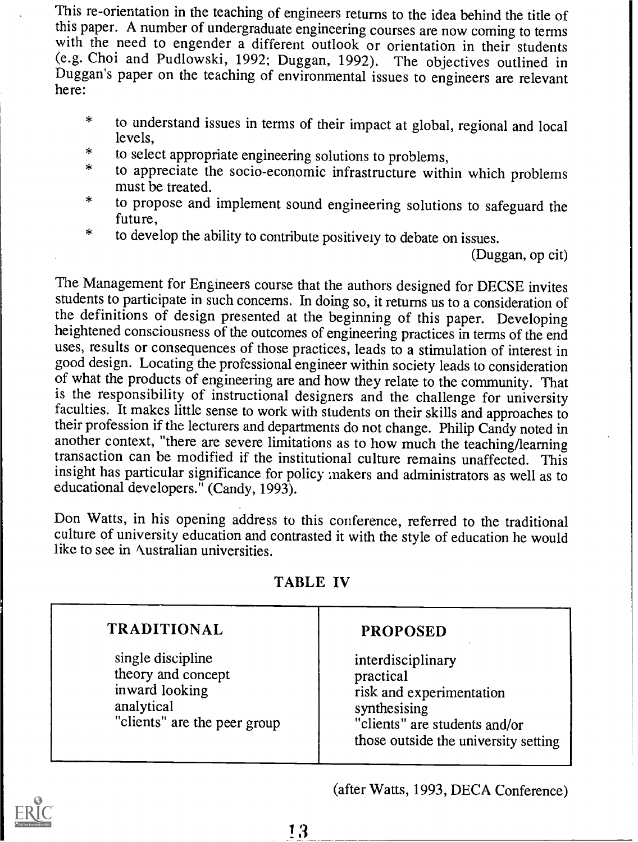This re-orientation in the teaching of engineers returns to the idea behind the title of this paper. A number of undergraduate engineering courses are now coming to terms with the need to engender a different outlook or orientation in their students (e.g. Choi and Pudlowski, 1992; Duggan, 1992). The objectives outlined in Duggan's paper on the teaching of environmental issues to engineers are relevant here:

- \* to understand issues in terms of their impact at global, regional and local levels,
- \* to select appropriate engineering solutions to problems, <sup>\*</sup> to select appropriate engineering solutions to problems,<br><sup>\*</sup> to appreciate the socio-economic infrastructure within wl
- to appreciate the socio-economic infrastructure within which problems<br>must be treated.<br>to propose and implement sound engineering solutions to safeguard the
- to propose and implement sound engineering solutions to safeguard the future,
- \* to develop the ability to contribute positively to debate on issues.

(Duggan, op cit)

The Management for Engineers course that the authors designed for DECSE invites students to participate in such concerns. In doing so, it returns us to a consideration of the definitions of design presented at the beginning of this paper. Developing heightened consciousness of the outcomes of engineering practices in terms of the end uses, results or consequences of those practices, leads to a stimulation of interest in good design. Locating the professional engineer within society leads to consideration of what the products of engineering are and how they relate to the community. That is the responsibility of instructional designers and the challenge for university faculties. It makes little sense to work with students on their skills and approaches to their profession if the lecturers and departments do not change. Philip Candy noted in another context, "there are severe limitations as to how much the teaching/learning transaction can be modified if the institutional culture remains unaffected. This insight has particular significance for policy makers and administrators as well as to educational developers." (Candy, 1993).

Don Watts, in his opening address to this conference, referred to the traditional culture of university education and contrasted it with the style of education he would like to see in Australian universities.

| <b>TRADITIONAL</b>                                                                                      | <b>PROPOSED</b>                                                                                                                                     |
|---------------------------------------------------------------------------------------------------------|-----------------------------------------------------------------------------------------------------------------------------------------------------|
| single discipline<br>theory and concept<br>inward looking<br>analytical<br>"clients" are the peer group | interdisciplinary<br>practical<br>risk and experimentation<br>synthesising<br>"clients" are students and/or<br>those outside the university setting |

### TABLE IV

(after Watts, 1993, DECA Conference)



13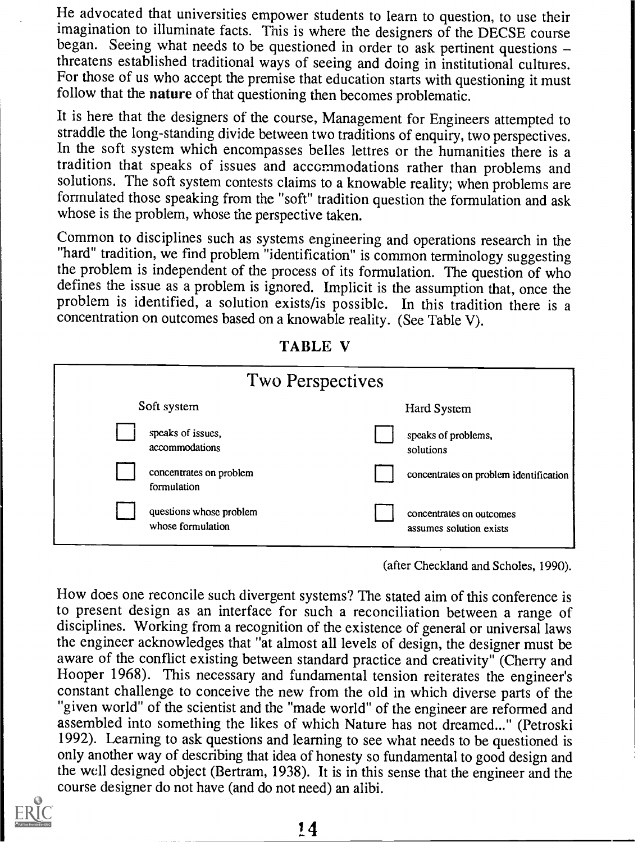He advocated that universities empower students to learn to question, to use their imagination to illuminate facts. This is where the designers of the DECSE course began. Seeing what needs to be questioned in order to ask pertinent questions  $$ threatens established traditional ways of seeing and doing in institutional cultures. For those of us who accept the premise that education starts with questioning it must follow that the nature of that questioning then becomes problematic.

It is here that the designers of the course, Management for Engineers attempted to straddle the long-standing divide between two traditions of enquiry, two perspectives. In the soft system which encompasses belles lettres or the humanities there is a tradition that speaks of issues and accommodations rather than problems and solutions. The soft system contests claims to a knowable reality; when problems are formulated those speaking from the "soft" tradition question the formulation and ask whose is the problem, whose the perspective taken.

Common to disciplines such as systems engineering and operations research in the "hard" tradition, we find problem "identification" is common terminology suggesting<br>the problem is independent of the process of its formulation. The question of who defines the issue as a problem is ignored. Implicit is the assumption that, once the problem is identified, a solution exists/is possible. In this tradition there is a concentration on outcomes based on a knowable reality. (See Table V).

| <b>Two Perspectives</b>                      |                                                     |
|----------------------------------------------|-----------------------------------------------------|
| Soft system                                  | Hard System                                         |
| speaks of issues,<br>accommodations          | speaks of problems,<br>solutions                    |
| concentrates on problem<br>formulation       | concentrates on problem identification              |
| questions whose problem<br>whose formulation | concentrates on outcomes<br>assumes solution exists |

TABLE V

(after Checkland and Scholes, 1990).

How does one reconcile such divergent systems? The stated aim of this conference is to present design as an interface for such a reconciliation between a range of disciplines. Working from a recognition of the existence of general or universal laws the engineer acknowledges that "at almost all levels of design, the designer must be aware of the conflict existing between standard practice and creativity" (Cherry and Hooper 1968). This necessary and fundamental tension reiterates the engineer's constant challenge to conceive the new from the old in which diverse parts of the "given world" of the scientist and the "made world" of the engineer are reformed and assembled into something the likes of which Nature has not dreamed..." (Petroski 1992). Learning to ask questions and learning to see what needs to be questioned is only another way of describing that idea of honesty so fundamental to good design and the well designed object (Bertram, 1938). It is in this sense that the engineer and the course designer do not have (and do not need) an alibi.

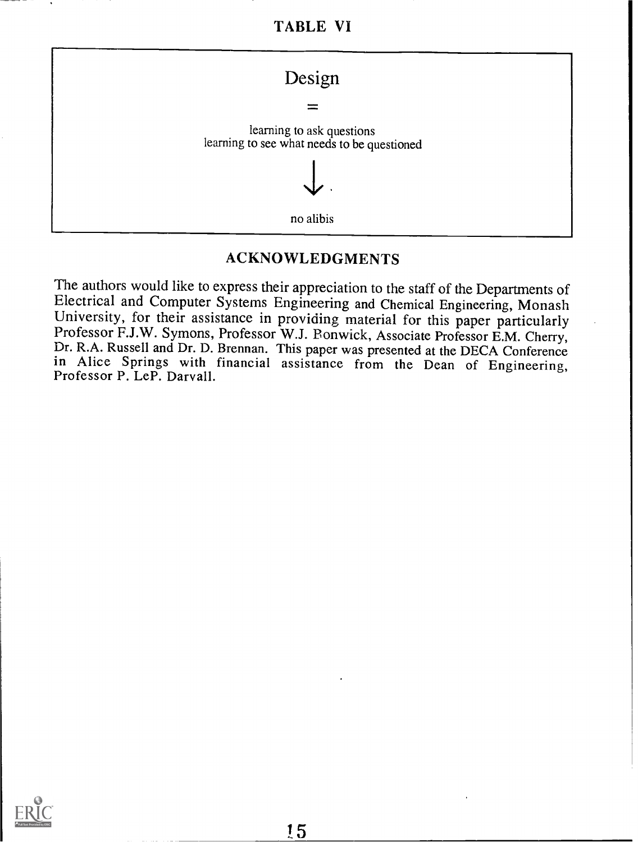TABLE VI



#### ACKNOWLEDGMENTS

The authors would like to express their appreciation to the staff of the Departments of Electrical and Computer Systems Engineering and Chemical Engineering, Monash University, for their assistance in providing material fo

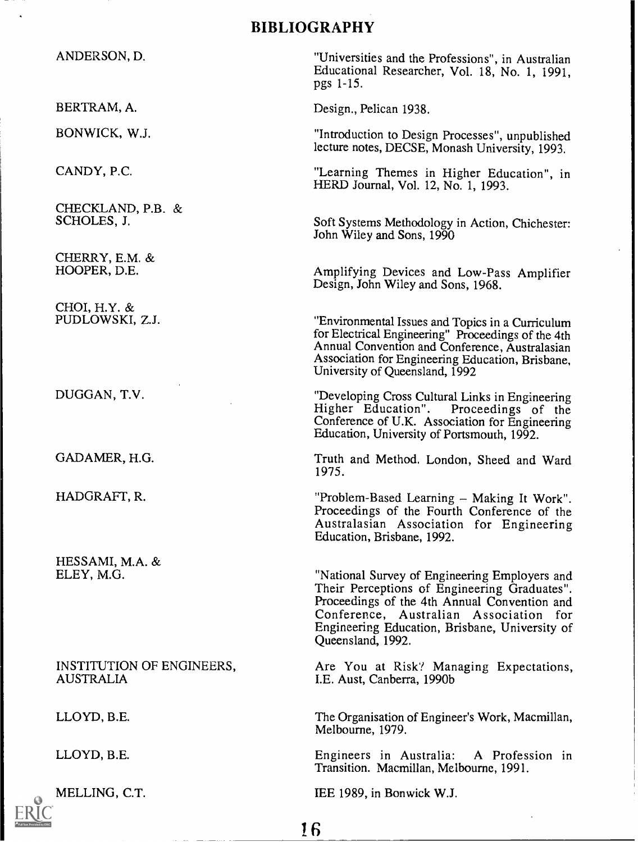### BIBLIOGRAPHY

ANDERSON, D.

BERTRAM, A.

BONWICK, W.J.

CANDY, P.C.

CHECKLAND, P.B. & SCHOLES, J.

CHERRY, E.M. & HOOPER, D.E.

CHOI, H.Y. & PUDLOWSKI, Z.J.

DUGGAN, T.V.

GADAMER, H.G.

HADGRAFT, R.

HESSAMI, M.A. & ELEY, M.G.

INSTITUTION OF ENGINEERS, AUSTRALIA

LLOYD, B.E.

LLOYD, B.E.

MELLING, C.T.

"Universities and the Professions", in Australian Educational Researcher, Vol. 18, No. 1, 1991, pgs 1-15.

Design., Pelican 1938.

"Introduction to Design Processes", unpublished lecture notes, DECSE, Monash University, 1993.

"Learning Themes in Higher Education", in HERD Journal, Vol. 12, No. 1, 1993.

Soft Systems Methodology in Action, Chichester: John Wiley and Sons, 1990

Amplifying Devices and Low-Pass Amplifier Design, John Wiley and Sons, 1968.

"Environmental Issues and Topics in a Curriculum for Electrical Engineering" Proceedings of the 4th Annual Convention and Conference, Australasian Association for Engineering Education, Brisbane, University of Queensland, 1992

"Developing Cross Cultural Links in Engineering Higher Education". Proceedings of the Conference of U.K. Association for Engineering Education, University of Portsmouth, 1992.

Truth and Method. London, Sheed and Ward 1975.

"Problem-Based Learning – Making It Work".<br>Proceedings of the Fourth Conference of the<br>Australasian Association for Engineering Education, Brisbane, 1992.

"National Survey of Engineering Employers and Their Perceptions of Engineering Graduates". Proceedings of the 4th Annual Convention and Conference, Australian Association for Engineering Education, Brisbane, University of Queensland, 1992.

Are You at Risk'? Managing Expectations, I.E. Aust, Canberra, 1990b

The Organisation of Engineer's Work, Macmillan, Melbourne, 1979.

Engineers in Australia: A Profession in Transition. Macmillan, Melbourne, 1991.

IEE 1989, in Bonwick W.J.